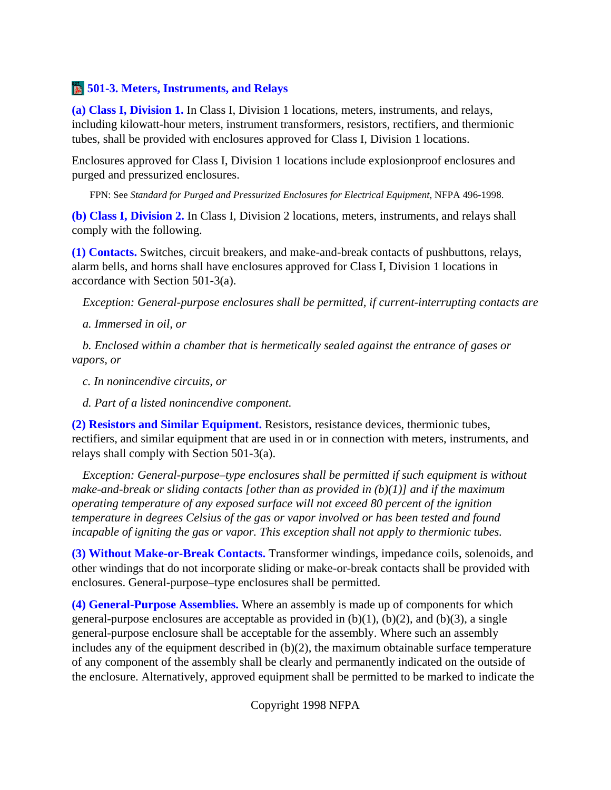## **<b>501-3. Meters, Instruments, and Relays**

**(a) Class I, Division 1.** In Class I, Division 1 locations, meters, instruments, and relays, including kilowatt-hour meters, instrument transformers, resistors, rectifiers, and thermionic tubes, shall be provided with enclosures approved for Class I, Division 1 locations.

Enclosures approved for Class I, Division 1 locations include explosionproof enclosures and purged and pressurized enclosures.

FPN: See *Standard for Purged and Pressurized Enclosures for Electrical Equipment*, NFPA 496-1998.

**(b) Class I, Division 2.** In Class I, Division 2 locations, meters, instruments, and relays shall comply with the following.

**(1) Contacts.** Switches, circuit breakers, and make-and-break contacts of pushbuttons, relays, alarm bells, and horns shall have enclosures approved for Class I, Division 1 locations in accordance with Section 501-3(a).

*Exception: General-purpose enclosures shall be permitted, if current-interrupting contacts are*

*a. Immersed in oil, or*

*b. Enclosed within a chamber that is hermetically sealed against the entrance of gases or vapors, or*

*c. In nonincendive circuits, or*

*d. Part of a listed nonincendive component.*

**(2) Resistors and Similar Equipment.** Resistors, resistance devices, thermionic tubes, rectifiers, and similar equipment that are used in or in connection with meters, instruments, and relays shall comply with Section 501-3(a).

*Exception: General-purpose–type enclosures shall be permitted if such equipment is without make-and-break or sliding contacts [other than as provided in (b)(1)] and if the maximum operating temperature of any exposed surface will not exceed 80 percent of the ignition temperature in degrees Celsius of the gas or vapor involved or has been tested and found incapable of igniting the gas or vapor. This exception shall not apply to thermionic tubes.*

**(3) Without Make-or-Break Contacts.** Transformer windings, impedance coils, solenoids, and other windings that do not incorporate sliding or make-or-break contacts shall be provided with enclosures. General-purpose–type enclosures shall be permitted.

**(4) General-Purpose Assemblies.** Where an assembly is made up of components for which general-purpose enclosures are acceptable as provided in  $(b)(1)$ ,  $(b)(2)$ , and  $(b)(3)$ , a single general-purpose enclosure shall be acceptable for the assembly. Where such an assembly includes any of the equipment described in (b)(2), the maximum obtainable surface temperature of any component of the assembly shall be clearly and permanently indicated on the outside of the enclosure. Alternatively, approved equipment shall be permitted to be marked to indicate the

Copyright 1998 NFPA